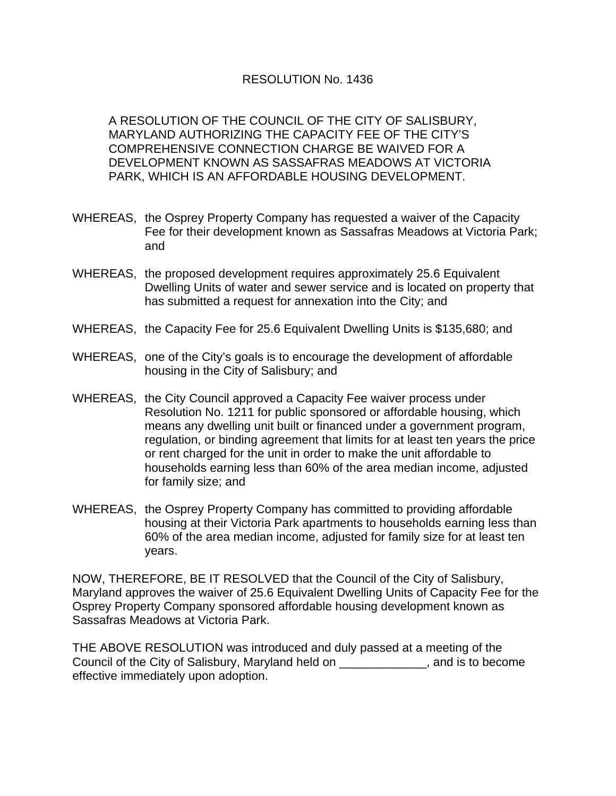## RESOLUTION No. 1436

A RESOLUTION OF THE COUNCIL OF THE CITY OF SALISBURY, MARYLAND AUTHORIZING THE CAPACITY FEE OF THE CITY'S COMPREHENSIVE CONNECTION CHARGE BE WAIVED FOR A DEVELOPMENT KNOWN AS SASSAFRAS MEADOWS AT VICTORIA PARK, WHICH IS AN AFFORDABLE HOUSING DEVELOPMENT.

- WHEREAS, the Osprey Property Company has requested a waiver of the Capacity Fee for their development known as Sassafras Meadows at Victoria Park; and
- WHEREAS, the proposed development requires approximately 25.6 Equivalent Dwelling Units of water and sewer service and is located on property that has submitted a request for annexation into the City; and
- WHEREAS, the Capacity Fee for 25.6 Equivalent Dwelling Units is \$135,680; and
- WHEREAS, one of the City's goals is to encourage the development of affordable housing in the City of Salisbury; and
- WHEREAS, the City Council approved a Capacity Fee waiver process under Resolution No. 1211 for public sponsored or affordable housing, which means any dwelling unit built or financed under a government program, regulation, or binding agreement that limits for at least ten years the price or rent charged for the unit in order to make the unit affordable to households earning less than 60% of the area median income, adjusted for family size; and
- WHEREAS, the Osprey Property Company has committed to providing affordable housing at their Victoria Park apartments to households earning less than 60% of the area median income, adjusted for family size for at least ten years.

NOW, THEREFORE, BE IT RESOLVED that the Council of the City of Salisbury, Maryland approves the waiver of 25.6 Equivalent Dwelling Units of Capacity Fee for the Osprey Property Company sponsored affordable housing development known as Sassafras Meadows at Victoria Park.

THE ABOVE RESOLUTION was introduced and duly passed at a meeting of the Council of the City of Salisbury, Maryland held on \_\_\_\_\_\_\_\_\_\_\_\_\_, and is to become effective immediately upon adoption.